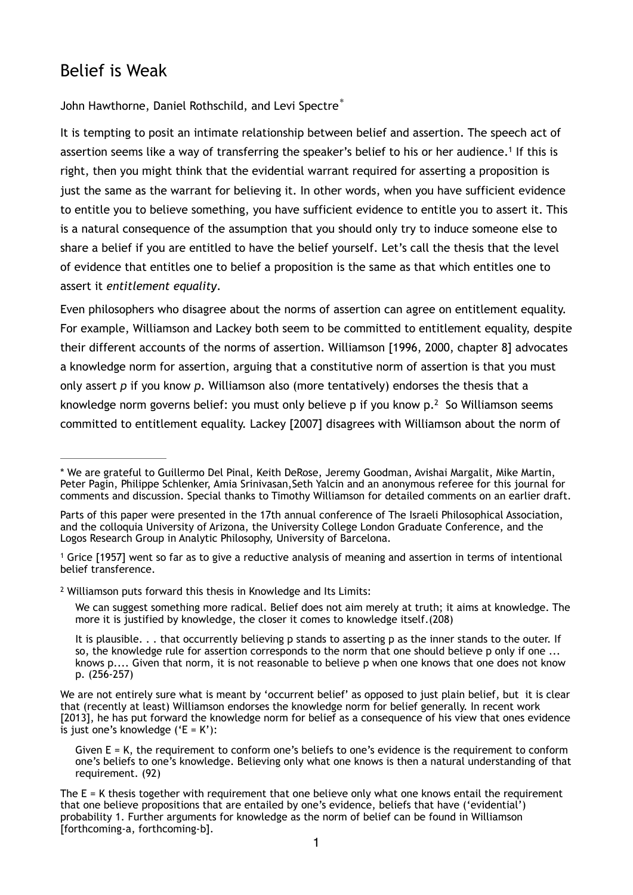## Belief is Weak

John Hawthorne, Daniel Rothschild, and Levi Spectre<sup>\*</sup>

It is tempting to posit an intimate relationship between belief and assertion. The speech act of assertion seems like a way of transferring the speaker's belief to his or her audience.<sup>1</sup> If this is right, then you might think that the evidential warrant required for asserting a proposition is just the same as the warrant for believing it. In other words, when you have sufficient evidence to entitle you to believe something, you have sufficient evidence to entitle you to assert it. This is a natural consequence of the assumption that you should only try to induce someone else to share a belief if you are entitled to have the belief yourself. Let's call the thesis that the level of evidence that entitles one to belief a proposition is the same as that which entitles one to assert it *entitlement equality*.

Even philosophers who disagree about the norms of assertion can agree on entitlement equality. For example, Williamson and Lackey both seem to be committed to entitlement equality, despite their different accounts of the norms of assertion. Williamson [1996, 2000, chapter 8] advocates a knowledge norm for assertion, arguing that a constitutive norm of assertion is that you must only assert *p* if you know *p*. Williamson also (more tentatively) endorses the thesis that a knowledge norm governs belief: you must only believe p if you know  $p<sup>2</sup>$  So Williamson seems committed to entitlement equality. Lackey [2007] disagrees with Williamson about the norm of

Williamson puts forward this thesis in Knowledge and Its Limits: 2

We can suggest something more radical. Belief does not aim merely at truth; it aims at knowledge. The more it is justified by knowledge, the closer it comes to knowledge itself.(208)

<sup>\*</sup> We are grateful to Guillermo Del Pinal, Keith DeRose, Jeremy Goodman, Avishai Margalit, Mike Martin, Peter Pagin, Philippe Schlenker, Amia Srinivasan,Seth Yalcin and an anonymous referee for this journal for comments and discussion. Special thanks to Timothy Williamson for detailed comments on an earlier draft.

Parts of this paper were presented in the 17th annual conference of The Israeli Philosophical Association, and the colloquia University of Arizona, the University College London Graduate Conference, and the Logos Research Group in Analytic Philosophy, University of Barcelona.

<sup>&</sup>lt;sup>1</sup> Grice [1957] went so far as to give a reductive analysis of meaning and assertion in terms of intentional belief transference.

It is plausible. . . that occurrently believing p stands to asserting p as the inner stands to the outer. If so, the knowledge rule for assertion corresponds to the norm that one should believe p only if one ... knows p.... Given that norm, it is not reasonable to believe p when one knows that one does not know p. (256-257)

We are not entirely sure what is meant by 'occurrent belief' as opposed to just plain belief, but it is clear that (recently at least) Williamson endorses the knowledge norm for belief generally. In recent work [2013], he has put forward the knowledge norm for belief as a consequence of his view that ones evidence is just one's knowledge  $(E = K')$ :

Given E = K, the requirement to conform one's beliefs to one's evidence is the requirement to conform one's beliefs to one's knowledge. Believing only what one knows is then a natural understanding of that requirement. (92)

The E = K thesis together with requirement that one believe only what one knows entail the requirement that one believe propositions that are entailed by one's evidence, beliefs that have ('evidential') probability 1. Further arguments for knowledge as the norm of belief can be found in Williamson [forthcoming-a, forthcoming-b].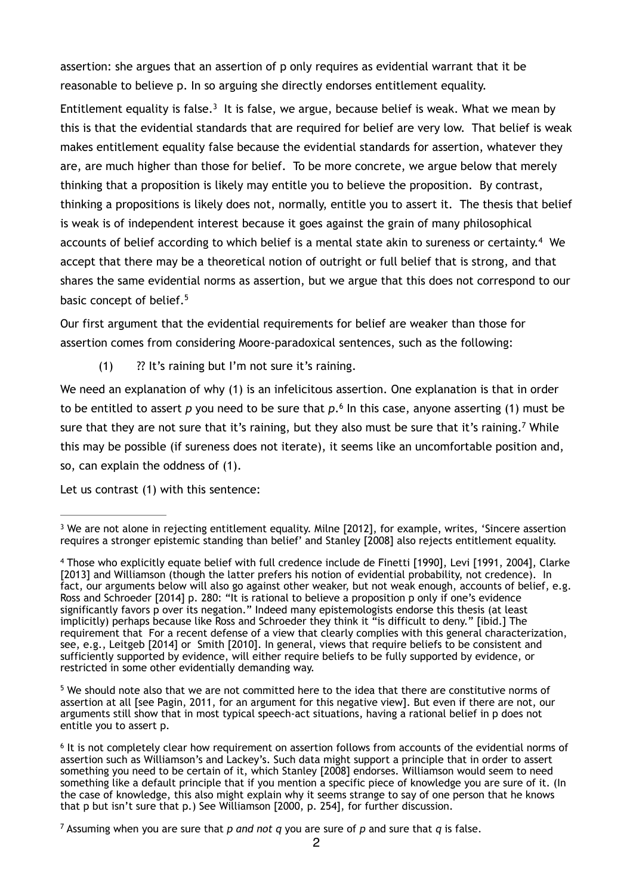assertion: she argues that an assertion of p only requires as evidential warrant that it be reasonable to believe p. In so arguing she directly endorses entitlement equality.

Entitlement equality is false.<sup>3</sup> It is false, we argue, because belief is weak. What we mean by this is that the evidential standards that are required for belief are very low. That belief is weak makes entitlement equality false because the evidential standards for assertion, whatever they are, are much higher than those for belief. To be more concrete, we argue below that merely thinking that a proposition is likely may entitle you to believe the proposition. By contrast, thinking a propositions is likely does not, normally, entitle you to assert it. The thesis that belief is weak is of independent interest because it goes against the grain of many philosophical accounts of belief according to which belief is a mental state akin to sureness or certainty.<sup>4</sup> We accept that there may be a theoretical notion of outright or full belief that is strong, and that shares the same evidential norms as assertion, but we argue that this does not correspond to our basic concept of belief.<sup>5</sup>

Our first argument that the evidential requirements for belief are weaker than those for assertion comes from considering Moore-paradoxical sentences, such as the following:

(1) ?? It's raining but I'm not sure it's raining.

We need an explanation of why (1) is an infelicitous assertion. One explanation is that in order to be entitled to assert *p* you need to be sure that *p*.<sup>6</sup> In this case, anyone asserting (1) must be sure that they are not sure that it's raining, but they also must be sure that it's raining.<sup>7</sup> While this may be possible (if sureness does not iterate), it seems like an uncomfortable position and, so, can explain the oddness of (1).

Let us contrast (1) with this sentence:

<sup>5</sup> We should note also that we are not committed here to the idea that there are constitutive norms of assertion at all [see Pagin, 2011, for an argument for this negative view]. But even if there are not, our arguments still show that in most typical speech-act situations, having a rational belief in p does not entitle you to assert p.

<sup>&</sup>lt;sup>3</sup> We are not alone in rejecting entitlement equality. Milne [2012], for example, writes, 'Sincere assertion requires a stronger epistemic standing than belief' and Stanley [2008] also rejects entitlement equality.

Those who explicitly equate belief with full credence include de Finetti [1990], Levi [1991, 2004], Clarke 4 [2013] and Williamson (though the latter prefers his notion of evidential probability, not credence). In fact, our arguments below will also go against other weaker, but not weak enough, accounts of belief, e.g. Ross and Schroeder [2014] p. 280: "It is rational to believe a proposition p only if one's evidence significantly favors p over its negation." Indeed many epistemologists endorse this thesis (at least implicitly) perhaps because like Ross and Schroeder they think it "is difficult to deny." [ibid.] The requirement that For a recent defense of a view that clearly complies with this general characterization, see, e.g., Leitgeb [2014] or Smith [2010]. In general, views that require beliefs to be consistent and sufficiently supported by evidence, will either require beliefs to be fully supported by evidence, or restricted in some other evidentially demanding way.

<sup>&</sup>lt;sup>6</sup> It is not completely clear how requirement on assertion follows from accounts of the evidential norms of assertion such as Williamson's and Lackey's. Such data might support a principle that in order to assert something you need to be certain of it, which Stanley [2008] endorses. Williamson would seem to need something like a default principle that if you mention a specific piece of knowledge you are sure of it. (In the case of knowledge, this also might explain why it seems strange to say of one person that he knows that p but isn't sure that p.) See Williamson [2000, p. 254], for further discussion.

<sup>&</sup>lt;sup>7</sup> Assuming when you are sure that  $p$  and not  $q$  you are sure of  $p$  and sure that  $q$  is false.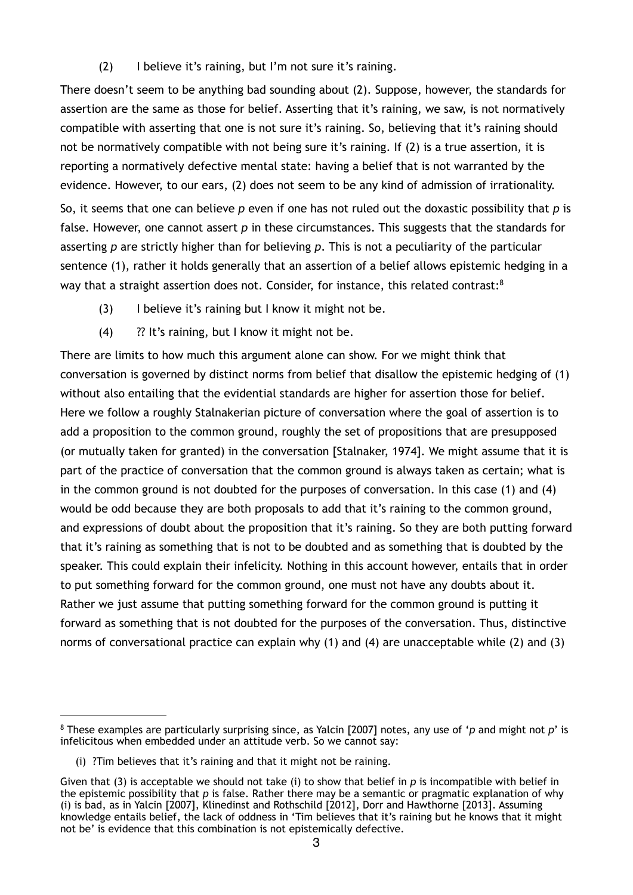(2) I believe it's raining, but I'm not sure it's raining.

There doesn't seem to be anything bad sounding about (2). Suppose, however, the standards for assertion are the same as those for belief. Asserting that it's raining, we saw, is not normatively compatible with asserting that one is not sure it's raining. So, believing that it's raining should not be normatively compatible with not being sure it's raining. If (2) is a true assertion, it is reporting a normatively defective mental state: having a belief that is not warranted by the evidence. However, to our ears, (2) does not seem to be any kind of admission of irrationality. So, it seems that one can believe *p* even if one has not ruled out the doxastic possibility that *p* is false. However, one cannot assert *p* in these circumstances. This suggests that the standards for asserting *p* are strictly higher than for believing *p*. This is not a peculiarity of the particular sentence (1), rather it holds generally that an assertion of a belief allows epistemic hedging in a way that a straight assertion does not. Consider, for instance, this related contrast:<sup>8</sup>

- (3) I believe it's raining but I know it might not be.
- (4) ?? It's raining, but I know it might not be.

There are limits to how much this argument alone can show. For we might think that conversation is governed by distinct norms from belief that disallow the epistemic hedging of (1) without also entailing that the evidential standards are higher for assertion those for belief. Here we follow a roughly Stalnakerian picture of conversation where the goal of assertion is to add a proposition to the common ground, roughly the set of propositions that are presupposed (or mutually taken for granted) in the conversation [Stalnaker, 1974]. We might assume that it is part of the practice of conversation that the common ground is always taken as certain; what is in the common ground is not doubted for the purposes of conversation. In this case (1) and (4) would be odd because they are both proposals to add that it's raining to the common ground, and expressions of doubt about the proposition that it's raining. So they are both putting forward that it's raining as something that is not to be doubted and as something that is doubted by the speaker. This could explain their infelicity. Nothing in this account however, entails that in order to put something forward for the common ground, one must not have any doubts about it. Rather we just assume that putting something forward for the common ground is putting it forward as something that is not doubted for the purposes of the conversation. Thus, distinctive norms of conversational practice can explain why (1) and (4) are unacceptable while (2) and (3)

These examples are particularly surprising since, as Yalcin [2007] notes, any use of '*p* and might not *p*' is 8 infelicitous when embedded under an attitude verb. So we cannot say:

<sup>(</sup>i) ?Tim believes that it's raining and that it might not be raining.

Given that (3) is acceptable we should not take (i) to show that belief in *p* is incompatible with belief in the epistemic possibility that *p* is false. Rather there may be a semantic or pragmatic explanation of why (i) is bad, as in Yalcin [2007], Klinedinst and Rothschild [2012], Dorr and Hawthorne [2013]. Assuming knowledge entails belief, the lack of oddness in 'Tim believes that it's raining but he knows that it might not be' is evidence that this combination is not epistemically defective.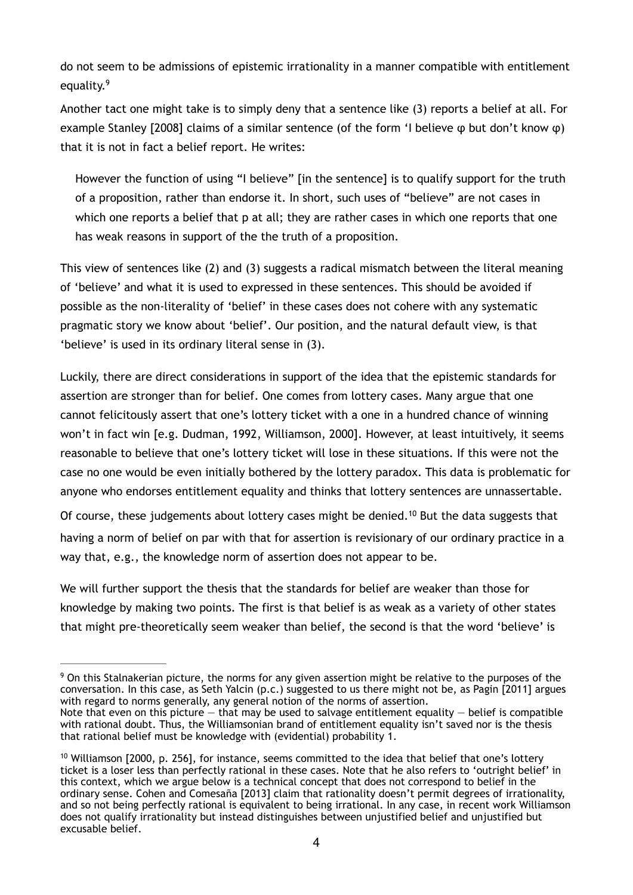do not seem to be admissions of epistemic irrationality in a manner compatible with entitlement equality.9

Another tact one might take is to simply deny that a sentence like (3) reports a belief at all. For example Stanley [2008] claims of a similar sentence (of the form 'I believe φ but don't know φ) that it is not in fact a belief report. He writes:

However the function of using "I believe" [in the sentence] is to qualify support for the truth of a proposition, rather than endorse it. In short, such uses of "believe" are not cases in which one reports a belief that p at all; they are rather cases in which one reports that one has weak reasons in support of the the truth of a proposition.

This view of sentences like (2) and (3) suggests a radical mismatch between the literal meaning of 'believe' and what it is used to expressed in these sentences. This should be avoided if possible as the non-literality of 'belief' in these cases does not cohere with any systematic pragmatic story we know about 'belief'. Our position, and the natural default view, is that 'believe' is used in its ordinary literal sense in (3).

Luckily, there are direct considerations in support of the idea that the epistemic standards for assertion are stronger than for belief. One comes from lottery cases. Many argue that one cannot felicitously assert that one's lottery ticket with a one in a hundred chance of winning won't in fact win [e.g. Dudman, 1992, Williamson, 2000]. However, at least intuitively, it seems reasonable to believe that one's lottery ticket will lose in these situations. If this were not the case no one would be even initially bothered by the lottery paradox. This data is problematic for anyone who endorses entitlement equality and thinks that lottery sentences are unnassertable.

Of course, these judgements about lottery cases might be denied.<sup>10</sup> But the data suggests that having a norm of belief on par with that for assertion is revisionary of our ordinary practice in a way that, e.g., the knowledge norm of assertion does not appear to be.

We will further support the thesis that the standards for belief are weaker than those for knowledge by making two points. The first is that belief is as weak as a variety of other states that might pre-theoretically seem weaker than belief, the second is that the word 'believe' is

<sup>&</sup>lt;sup>9</sup> On this Stalnakerian picture, the norms for any given assertion might be relative to the purposes of the conversation. In this case, as Seth Yalcin (p.c.) suggested to us there might not be, as Pagin [2011] argues with regard to norms generally, any general notion of the norms of assertion.

Note that even on this picture  $-$  that may be used to salvage entitlement equality  $-$  belief is compatible with rational doubt. Thus, the Williamsonian brand of entitlement equality isn't saved nor is the thesis that rational belief must be knowledge with (evidential) probability 1.

 $10$  Williamson [2000, p. 256], for instance, seems committed to the idea that belief that one's lottery ticket is a loser less than perfectly rational in these cases. Note that he also refers to 'outright belief' in this context, which we argue below is a technical concept that does not correspond to belief in the ordinary sense. Cohen and Comesaña [2013] claim that rationality doesn't permit degrees of irrationality, and so not being perfectly rational is equivalent to being irrational. In any case, in recent work Williamson does not qualify irrationality but instead distinguishes between unjustified belief and unjustified but excusable belief.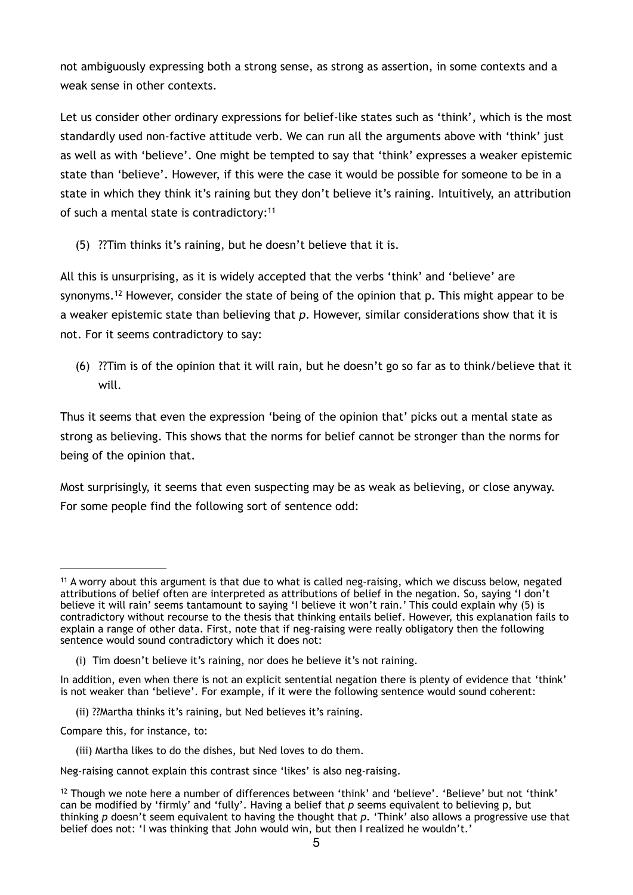not ambiguously expressing both a strong sense, as strong as assertion, in some contexts and a weak sense in other contexts.

Let us consider other ordinary expressions for belief-like states such as 'think', which is the most standardly used non-factive attitude verb. We can run all the arguments above with 'think' just as well as with 'believe'. One might be tempted to say that 'think' expresses a weaker epistemic state than 'believe'. However, if this were the case it would be possible for someone to be in a state in which they think it's raining but they don't believe it's raining. Intuitively, an attribution of such a mental state is contradictory:11

(5) ??Tim thinks it's raining, but he doesn't believe that it is.

All this is unsurprising, as it is widely accepted that the verbs 'think' and 'believe' are synonyms.<sup>12</sup> However, consider the state of being of the opinion that p. This might appear to be a weaker epistemic state than believing that *p*. However, similar considerations show that it is not. For it seems contradictory to say:

(6) ??Tim is of the opinion that it will rain, but he doesn't go so far as to think/believe that it will.

Thus it seems that even the expression 'being of the opinion that' picks out a mental state as strong as believing. This shows that the norms for belief cannot be stronger than the norms for being of the opinion that.

Most surprisingly, it seems that even suspecting may be as weak as believing, or close anyway. For some people find the following sort of sentence odd:

(ii) ??Martha thinks it's raining, but Ned believes it's raining.

Compare this, for instance, to:

(iii) Martha likes to do the dishes, but Ned loves to do them.

 $11$  A worrv about this argument is that due to what is called neg-raising, which we discuss below, negated attributions of belief often are interpreted as attributions of belief in the negation. So, saying 'I don't believe it will rain' seems tantamount to saying 'I believe it won't rain.' This could explain why (5) is contradictory without recourse to the thesis that thinking entails belief. However, this explanation fails to explain a range of other data. First, note that if neg-raising were really obligatory then the following sentence would sound contradictory which it does not:

<sup>(</sup>i) Tim doesn't believe it's raining, nor does he believe it's not raining.

In addition, even when there is not an explicit sentential negation there is plenty of evidence that 'think' is not weaker than 'believe'. For example, if it were the following sentence would sound coherent:

Neg-raising cannot explain this contrast since 'likes' is also neg-raising.

 $12$  Though we note here a number of differences between 'think' and 'believe'. 'Believe' but not 'think' can be modified by 'firmly' and 'fully'. Having a belief that *p* seems equivalent to believing p, but thinking *p* doesn't seem equivalent to having the thought that *p*. 'Think' also allows a progressive use that belief does not: 'I was thinking that John would win, but then I realized he wouldn't.'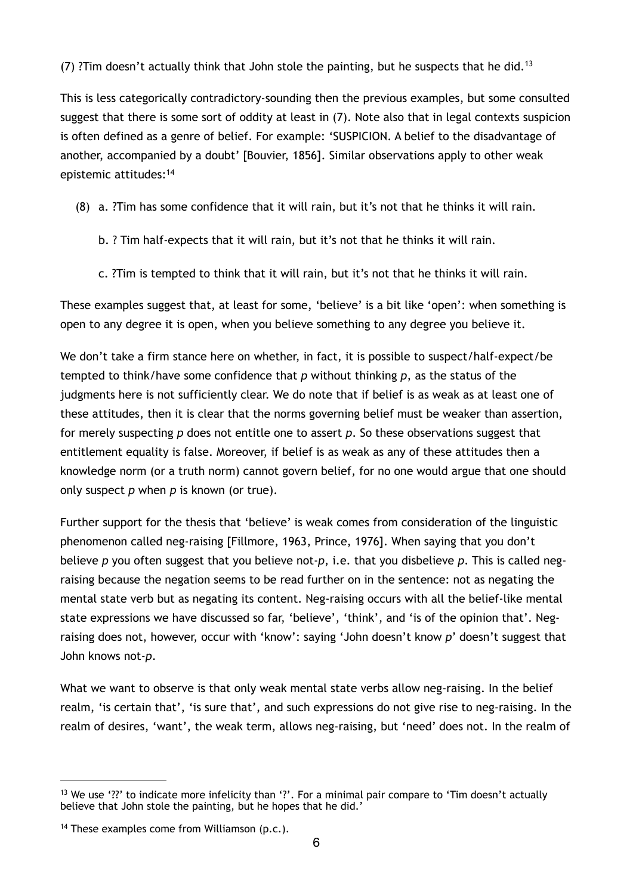(7) ?Tim doesn't actually think that John stole the painting, but he suspects that he did.<sup>13</sup>

This is less categorically contradictory-sounding then the previous examples, but some consulted suggest that there is some sort of oddity at least in (7). Note also that in legal contexts suspicion is often defined as a genre of belief. For example: 'SUSPICION. A belief to the disadvantage of another, accompanied by a doubt' [Bouvier, 1856]. Similar observations apply to other weak epistemic attitudes:14

- (8) a. ?Tim has some confidence that it will rain, but it's not that he thinks it will rain.
	- b. ? Tim half-expects that it will rain, but it's not that he thinks it will rain.
	- c. ?Tim is tempted to think that it will rain, but it's not that he thinks it will rain.

These examples suggest that, at least for some, 'believe' is a bit like 'open': when something is open to any degree it is open, when you believe something to any degree you believe it.

We don't take a firm stance here on whether, in fact, it is possible to suspect/half-expect/be tempted to think/have some confidence that *p* without thinking *p*, as the status of the judgments here is not sufficiently clear. We do note that if belief is as weak as at least one of these attitudes, then it is clear that the norms governing belief must be weaker than assertion, for merely suspecting *p* does not entitle one to assert *p*. So these observations suggest that entitlement equality is false. Moreover, if belief is as weak as any of these attitudes then a knowledge norm (or a truth norm) cannot govern belief, for no one would argue that one should only suspect *p* when *p* is known (or true).

Further support for the thesis that 'believe' is weak comes from consideration of the linguistic phenomenon called neg-raising [Fillmore, 1963, Prince, 1976]. When saying that you don't believe *p* you often suggest that you believe not-*p*, i.e. that you disbelieve *p*. This is called negraising because the negation seems to be read further on in the sentence: not as negating the mental state verb but as negating its content. Neg-raising occurs with all the belief-like mental state expressions we have discussed so far, 'believe', 'think', and 'is of the opinion that'. Negraising does not, however, occur with 'know': saying 'John doesn't know *p*' doesn't suggest that John knows not-*p*.

What we want to observe is that only weak mental state verbs allow neg-raising. In the belief realm, 'is certain that', 'is sure that', and such expressions do not give rise to neg-raising. In the realm of desires, 'want', the weak term, allows neg-raising, but 'need' does not. In the realm of

<sup>&</sup>lt;sup>13</sup> We use '??' to indicate more infelicity than '?'. For a minimal pair compare to 'Tim doesn't actually believe that John stole the painting, but he hopes that he did.'

<sup>&</sup>lt;sup>14</sup> These examples come from Williamson  $(p,c.)$ .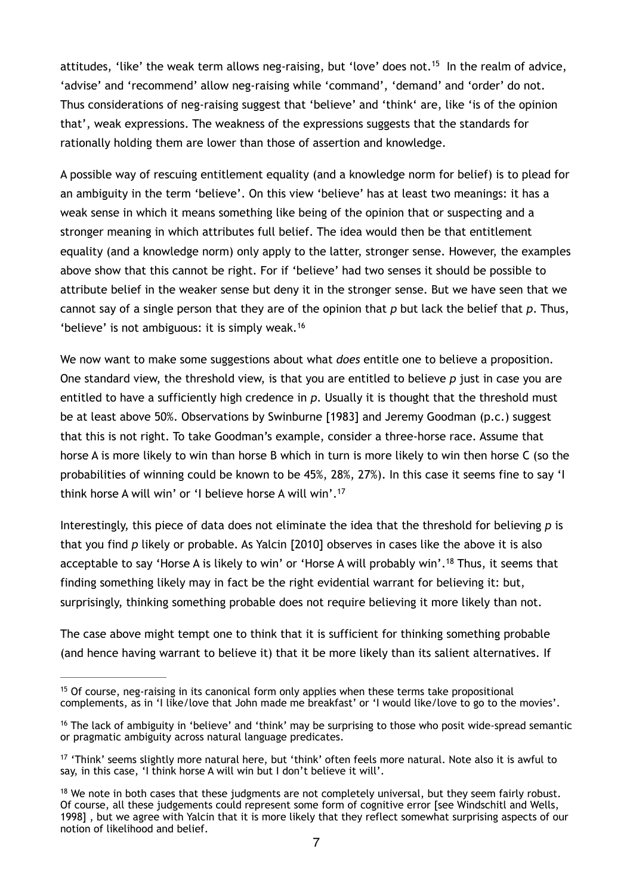attitudes, 'like' the weak term allows neg-raising, but 'love' does not.<sup>15</sup> In the realm of advice, 'advise' and 'recommend' allow neg-raising while 'command', 'demand' and 'order' do not. Thus considerations of neg-raising suggest that 'believe' and 'think' are, like 'is of the opinion that', weak expressions. The weakness of the expressions suggests that the standards for rationally holding them are lower than those of assertion and knowledge.

A possible way of rescuing entitlement equality (and a knowledge norm for belief) is to plead for an ambiguity in the term 'believe'. On this view 'believe' has at least two meanings: it has a weak sense in which it means something like being of the opinion that or suspecting and a stronger meaning in which attributes full belief. The idea would then be that entitlement equality (and a knowledge norm) only apply to the latter, stronger sense. However, the examples above show that this cannot be right. For if 'believe' had two senses it should be possible to attribute belief in the weaker sense but deny it in the stronger sense. But we have seen that we cannot say of a single person that they are of the opinion that *p* but lack the belief that *p*. Thus, 'believe' is not ambiguous: it is simply weak.16

We now want to make some suggestions about what *does* entitle one to believe a proposition. One standard view, the threshold view, is that you are entitled to believe *p* just in case you are entitled to have a sufficiently high credence in *p*. Usually it is thought that the threshold must be at least above 50%. Observations by Swinburne [1983] and Jeremy Goodman (p.c.) suggest that this is not right. To take Goodman's example, consider a three-horse race. Assume that horse A is more likely to win than horse B which in turn is more likely to win then horse C (so the probabilities of winning could be known to be 45%, 28%, 27%). In this case it seems fine to say 'I think horse A will win' or 'I believe horse A will win'.17

Interestingly, this piece of data does not eliminate the idea that the threshold for believing *p* is that you find *p* likely or probable. As Yalcin [2010] observes in cases like the above it is also acceptable to say 'Horse A is likely to win' or 'Horse A will probably win'.<sup>18</sup> Thus, it seems that finding something likely may in fact be the right evidential warrant for believing it: but, surprisingly, thinking something probable does not require believing it more likely than not.

The case above might tempt one to think that it is sufficient for thinking something probable (and hence having warrant to believe it) that it be more likely than its salient alternatives. If

 $15$  Of course, neg-raising in its canonical form only applies when these terms take propositional complements, as in 'I like/love that John made me breakfast' or 'I would like/love to go to the movies'.

<sup>&</sup>lt;sup>16</sup> The lack of ambiguity in 'believe' and 'think' may be surprising to those who posit wide-spread semantic or pragmatic ambiguity across natural language predicates.

<sup>&</sup>lt;sup>17</sup> 'Think' seems slightly more natural here, but 'think' often feels more natural. Note also it is awful to say, in this case, 'I think horse A will win but I don't believe it will'.

 $18$  We note in both cases that these judgments are not completely universal, but they seem fairly robust. Of course, all these judgements could represent some form of cognitive error [see Windschitl and Wells, 1998] , but we agree with Yalcin that it is more likely that they reflect somewhat surprising aspects of our notion of likelihood and belief.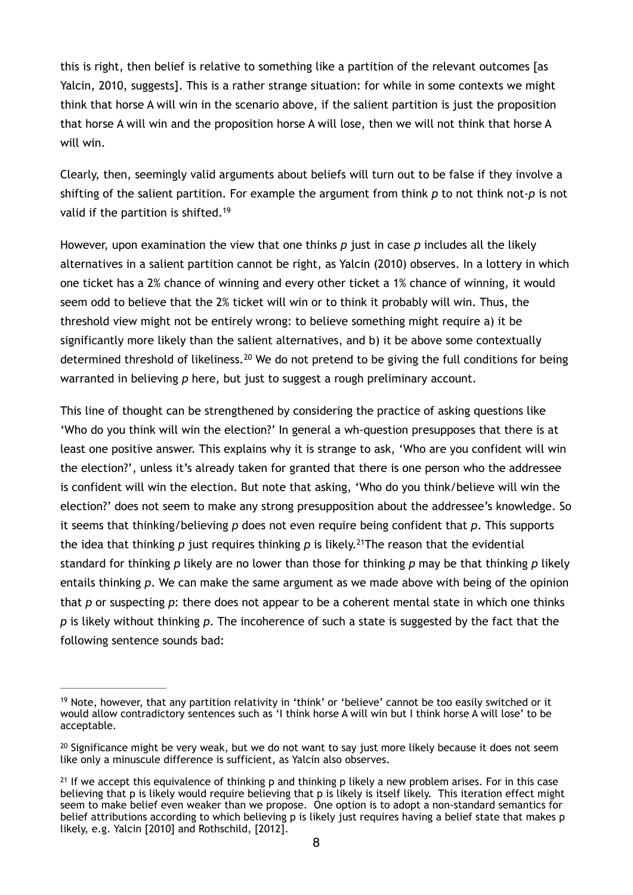this is right, then belief is relative to something like a partition of the relevant outcomes [as Yalcin, 2010, suggests]. This is a rather strange situation: for while in some contexts we might think that horse A will win in the scenario above, if the salient partition is just the proposition that horse A will win and the proposition horse A will lose, then we will not think that horse A will win.

Clearly, then, seemingly valid arguments about beliefs will turn out to be false if they involve a shifting of the salient partition. For example the argument from think *p* to not think not-*p* is not valid if the partition is shifted.<sup>19</sup>

However, upon examination the view that one thinks *p* just in case *p* includes all the likely alternatives in a salient partition cannot be right, as Yalcin (2010) observes. In a lottery in which one ticket has a 2% chance of winning and every other ticket a 1% chance of winning, it would seem odd to believe that the 2% ticket will win or to think it probably will win. Thus, the threshold view might not be entirely wrong: to believe something might require a) it be significantly more likely than the salient alternatives, and b) it be above some contextually determined threshold of likeliness.<sup>20</sup> We do not pretend to be giving the full conditions for being warranted in believing *p* here, but just to suggest a rough preliminary account.

This line of thought can be strengthened by considering the practice of asking questions like 'Who do you think will win the election?' In general a wh-question presupposes that there is at least one positive answer. This explains why it is strange to ask, 'Who are you confident will win the election?', unless it's already taken for granted that there is one person who the addressee is confident will win the election. But note that asking, 'Who do you think/believe will win the election?' does not seem to make any strong presupposition about the addressee's knowledge. So it seems that thinking/believing *p* does not even require being confident that *p*. This supports the idea that thinking  $p$  just requires thinking  $p$  is likely.<sup>21</sup>The reason that the evidential standard for thinking *p* likely are no lower than those for thinking *p* may be that thinking *p* likely entails thinking *p*. We can make the same argument as we made above with being of the opinion that *p* or suspecting *p*: there does not appear to be a coherent mental state in which one thinks *p* is likely without thinking *p*. The incoherence of such a state is suggested by the fact that the following sentence sounds bad:

<sup>&</sup>lt;sup>19</sup> Note, however, that any partition relativity in 'think' or 'believe' cannot be too easily switched or it would allow contradictory sentences such as 'I think horse A will win but I think horse A will lose' to be acceptable.

 $20$  Significance might be very weak, but we do not want to say just more likely because it does not seem like only a minuscule difference is sufficient, as Yalcin also observes.

 $21$  If we accept this equivalence of thinking p and thinking p likely a new problem arises. For in this case believing that p is likely would require believing that p is likely is itself likely. This iteration effect might seem to make belief even weaker than we propose. One option is to adopt a non-standard semantics for belief attributions according to which believing p is likely just requires having a belief state that makes p likely, e.g. Yalcin [2010] and Rothschild, [2012].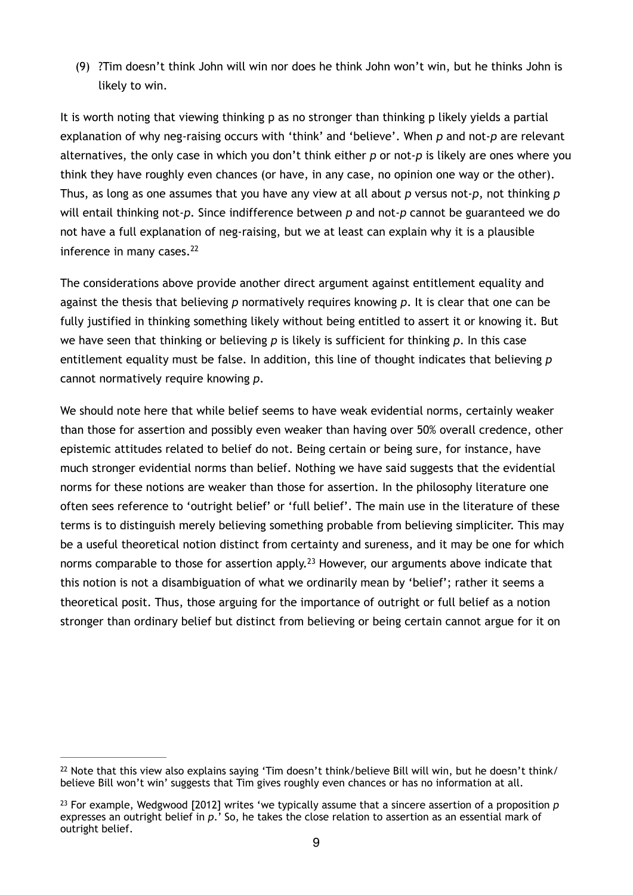(9) ?Tim doesn't think John will win nor does he think John won't win, but he thinks John is likely to win.

It is worth noting that viewing thinking p as no stronger than thinking p likely yields a partial explanation of why neg-raising occurs with 'think' and 'believe'. When *p* and not-*p* are relevant alternatives, the only case in which you don't think either *p* or not-*p* is likely are ones where you think they have roughly even chances (or have, in any case, no opinion one way or the other). Thus, as long as one assumes that you have any view at all about *p* versus not-*p*, not thinking *p* will entail thinking not-*p*. Since indifference between *p* and not-*p* cannot be guaranteed we do not have a full explanation of neg-raising, but we at least can explain why it is a plausible inference in many cases.22

The considerations above provide another direct argument against entitlement equality and against the thesis that believing *p* normatively requires knowing *p*. It is clear that one can be fully justified in thinking something likely without being entitled to assert it or knowing it. But we have seen that thinking or believing *p* is likely is sufficient for thinking *p*. In this case entitlement equality must be false. In addition, this line of thought indicates that believing *p* cannot normatively require knowing *p*.

We should note here that while belief seems to have weak evidential norms, certainly weaker than those for assertion and possibly even weaker than having over 50% overall credence, other epistemic attitudes related to belief do not. Being certain or being sure, for instance, have much stronger evidential norms than belief. Nothing we have said suggests that the evidential norms for these notions are weaker than those for assertion. In the philosophy literature one often sees reference to 'outright belief' or 'full belief'. The main use in the literature of these terms is to distinguish merely believing something probable from believing simpliciter. This may be a useful theoretical notion distinct from certainty and sureness, and it may be one for which norms comparable to those for assertion apply.<sup>23</sup> However, our arguments above indicate that this notion is not a disambiguation of what we ordinarily mean by 'belief'; rather it seems a theoretical posit. Thus, those arguing for the importance of outright or full belief as a notion stronger than ordinary belief but distinct from believing or being certain cannot argue for it on

<sup>&</sup>lt;sup>22</sup> Note that this view also explains saying 'Tim doesn't think/believe Bill will win, but he doesn't think/ believe Bill won't win' suggests that Tim gives roughly even chances or has no information at all.

<sup>&</sup>lt;sup>23</sup> For example, Wedgwood [2012] writes 'we typically assume that a sincere assertion of a proposition  $p$ expresses an outright belief in *p*.' So, he takes the close relation to assertion as an essential mark of outright belief.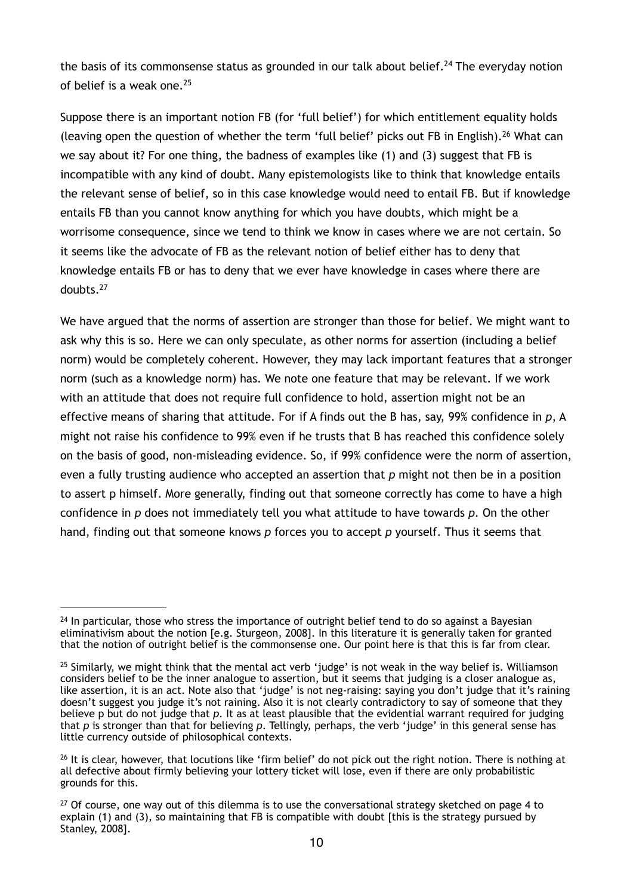the basis of its commonsense status as grounded in our talk about belief.<sup>24</sup> The everyday notion of belief is a weak one.25

Suppose there is an important notion FB (for 'full belief') for which entitlement equality holds (leaving open the question of whether the term 'full belief' picks out FB in English). <sup>26</sup> What can we say about it? For one thing, the badness of examples like (1) and (3) suggest that FB is incompatible with any kind of doubt. Many epistemologists like to think that knowledge entails the relevant sense of belief, so in this case knowledge would need to entail FB. But if knowledge entails FB than you cannot know anything for which you have doubts, which might be a worrisome consequence, since we tend to think we know in cases where we are not certain. So it seems like the advocate of FB as the relevant notion of belief either has to deny that knowledge entails FB or has to deny that we ever have knowledge in cases where there are doubts.27

We have argued that the norms of assertion are stronger than those for belief. We might want to ask why this is so. Here we can only speculate, as other norms for assertion (including a belief norm) would be completely coherent. However, they may lack important features that a stronger norm (such as a knowledge norm) has. We note one feature that may be relevant. If we work with an attitude that does not require full confidence to hold, assertion might not be an effective means of sharing that attitude. For if A finds out the B has, say, 99% confidence in *p*, A might not raise his confidence to 99% even if he trusts that B has reached this confidence solely on the basis of good, non-misleading evidence. So, if 99% confidence were the norm of assertion, even a fully trusting audience who accepted an assertion that *p* might not then be in a position to assert p himself. More generally, finding out that someone correctly has come to have a high confidence in *p* does not immediately tell you what attitude to have towards *p*. On the other hand, finding out that someone knows *p* forces you to accept *p* yourself. Thus it seems that

 $I<sup>24</sup>$  In particular, those who stress the importance of outright belief tend to do so against a Bayesian eliminativism about the notion [e.g. Sturgeon, 2008]. In this literature it is generally taken for granted that the notion of outright belief is the commonsense one. Our point here is that this is far from clear.

<sup>&</sup>lt;sup>25</sup> Similarly, we might think that the mental act verb 'judge' is not weak in the way belief is. Williamson considers belief to be the inner analogue to assertion, but it seems that judging is a closer analogue as, like assertion, it is an act. Note also that 'judge' is not neg-raising: saying you don't judge that it's raining doesn't suggest you judge it's not raining. Also it is not clearly contradictory to say of someone that they believe p but do not judge that *p*. It as at least plausible that the evidential warrant required for judging that *p* is stronger than that for believing *p*. Tellingly, perhaps, the verb 'judge' in this general sense has little currency outside of philosophical contexts.

 $26$  It is clear, however, that locutions like 'firm belief' do not pick out the right notion. There is nothing at all defective about firmly believing your lottery ticket will lose, even if there are only probabilistic grounds for this.

 $27$  Of course, one way out of this dilemma is to use the conversational strategy sketched on page 4 to explain (1) and (3), so maintaining that FB is compatible with doubt [this is the strategy pursued by Stanley, 2008].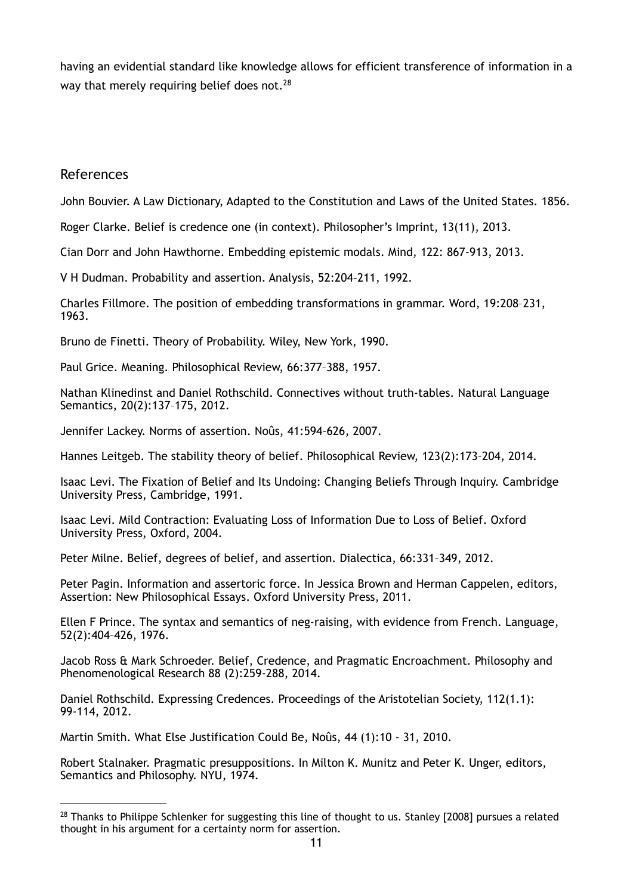having an evidential standard like knowledge allows for efficient transference of information in a way that merely requiring belief does not.<sup>28</sup>

## References

John Bouvier. A Law Dictionary, Adapted to the Constitution and Laws of the United States. 1856.

Roger Clarke. Belief is credence one (in context). Philosopher's Imprint, 13(11), 2013.

Cian Dorr and John Hawthorne. Embedding epistemic modals. Mind, 122: 867-913, 2013.

V H Dudman. Probability and assertion. Analysis, 52:204–211, 1992.

Charles Fillmore. The position of embedding transformations in grammar. Word, 19:208–231, 1963.

Bruno de Finetti. Theory of Probability. Wiley, New York, 1990.

Paul Grice. Meaning. Philosophical Review, 66:377–388, 1957.

Nathan Klinedinst and Daniel Rothschild. Connectives without truth-tables. Natural Language Semantics, 20(2):137–175, 2012.

Jennifer Lackey. Norms of assertion. Noûs, 41:594–626, 2007.

Hannes Leitgeb. The stability theory of belief. Philosophical Review, 123(2):173–204, 2014.

Isaac Levi. The Fixation of Belief and Its Undoing: Changing Beliefs Through Inquiry. Cambridge University Press, Cambridge, 1991.

Isaac Levi. Mild Contraction: Evaluating Loss of Information Due to Loss of Belief. Oxford University Press, Oxford, 2004.

Peter Milne. Belief, degrees of belief, and assertion. Dialectica, 66:331–349, 2012.

Peter Pagin. Information and assertoric force. In Jessica Brown and Herman Cappelen, editors, Assertion: New Philosophical Essays. Oxford University Press, 2011.

Ellen F Prince. The syntax and semantics of neg-raising, with evidence from French. Language, 52(2):404–426, 1976.

Jacob Ross & Mark Schroeder. Belief, Credence, and Pragmatic Encroachment. Philosophy and Phenomenological Research 88 (2):259-288, 2014.

Daniel Rothschild. Expressing Credences. Proceedings of the Aristotelian Society, 112(1.1): 99-114, 2012.

Martin Smith. What Else Justification Could Be, Noûs, 44 (1):10 - 31, 2010.

Robert Stalnaker. Pragmatic presuppositions. In Milton K. Munitz and Peter K. Unger, editors, Semantics and Philosophy. NYU, 1974.

<sup>&</sup>lt;sup>28</sup> Thanks to Philippe Schlenker for suggesting this line of thought to us. Stanley [2008] pursues a related thought in his argument for a certainty norm for assertion.